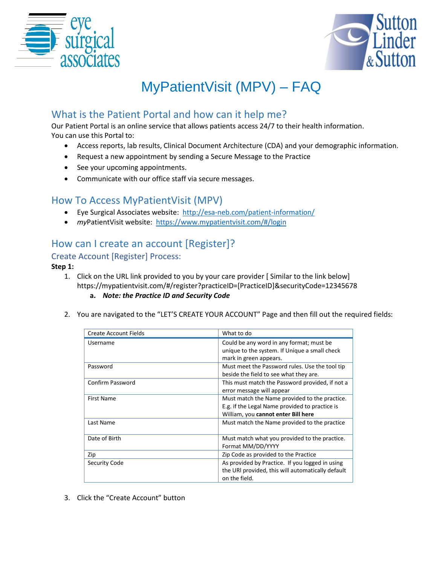



# MyPatientVisit (MPV) – FAQ

# What is the Patient Portal and how can it help me?

Our Patient Portal is an online service that allows patients access 24/7 to their health information. You can use this Portal to:

- Access reports, lab results, Clinical Document Architecture (CDA) and your demographic information.
- Request a new appointment by sending a Secure Message to the Practice
- See your upcoming appointments.
- Communicate with our office staff via secure messages.

## How To Access MyPatientVisit (MPV)

- Eye Surgical Associates website: <http://esa-neb.com/patient-information/>
- *my*PatientVisit website:<https://www.mypatientvisit.com/#/login>

# How can I create an account [Register]?

#### Create Account [Register] Process:

#### **Step 1:**

- 1. Click on the URL link provided to you by your care provider [ Similar to the link below] https://mypatientvisit.com/#/register?practiceID=[PracticeID]&securityCode=12345678 **a.** *Note: the Practice ID and Security Code*
- 2. You are navigated to the "LET'S CREATE YOUR ACCOUNT" Page and then fill out the required fields:

| Create Account Fields | What to do                                                                                                                             |
|-----------------------|----------------------------------------------------------------------------------------------------------------------------------------|
| Username              | Could be any word in any format; must be<br>unique to the system. If Unique a small check<br>mark in green appears.                    |
| Password              | Must meet the Password rules. Use the tool tip<br>beside the field to see what they are.                                               |
| Confirm Password      | This must match the Password provided, if not a<br>error message will appear                                                           |
| First Name            | Must match the Name provided to the practice.<br>E.g. if the Legal Name provided to practice is<br>William, you cannot enter Bill here |
| Last Name             | Must match the Name provided to the practice                                                                                           |
| Date of Birth         | Must match what you provided to the practice.<br>Format MM/DD/YYYY                                                                     |
| Zip                   | Zip Code as provided to the Practice                                                                                                   |
| Security Code         | As provided by Practice. If you logged in using<br>the URI provided, this will automatically default<br>on the field.                  |

3. Click the "Create Account" button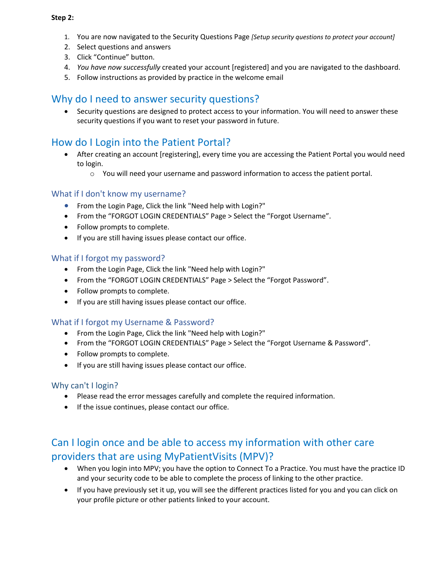#### **Step 2:**

- 1. You are now navigated to the Security Questions Page *[Setup security questions to protect your account]*
- 2. Select questions and answers
- 3. Click "Continue" button.
- 4. *You have now successfully* created your account [registered] and you are navigated to the dashboard.
- 5. Follow instructions as provided by practice in the welcome email

### Why do I need to answer security questions?

 Security questions are designed to protect access to your information. You will need to answer these security questions if you want to reset your password in future.

### How do I Login into the Patient Portal?

- After creating an account [registering], every time you are accessing the Patient Portal you would need to login.
	- $\circ$  You will need your username and password information to access the patient portal.

#### What if I don't know my username?

- From the Login Page, Click the link "Need help with Login?"
- From the "FORGOT LOGIN CREDENTIALS" Page > Select the "Forgot Username".
- Follow prompts to complete.
- If you are still having issues please contact our office.

#### What if I forgot my password?

- From the Login Page, Click the link "Need help with Login?"
- From the "FORGOT LOGIN CREDENTIALS" Page > Select the "Forgot Password".
- Follow prompts to complete.
- If you are still having issues please contact our office.

#### What if I forgot my Username & Password?

- From the Login Page, Click the link "Need help with Login?"
- From the "FORGOT LOGIN CREDENTIALS" Page > Select the "Forgot Username & Password".
- Follow prompts to complete.
- If you are still having issues please contact our office.

#### Why can't I login?

- Please read the error messages carefully and complete the required information.
- If the issue continues, please contact our office.

# Can I login once and be able to access my information with other care providers that are using MyPatientVisits (MPV)?

- When you login into MPV; you have the option to Connect To a Practice. You must have the practice ID and your security code to be able to complete the process of linking to the other practice.
- If you have previously set it up, you will see the different practices listed for you and you can click on your profile picture or other patients linked to your account.